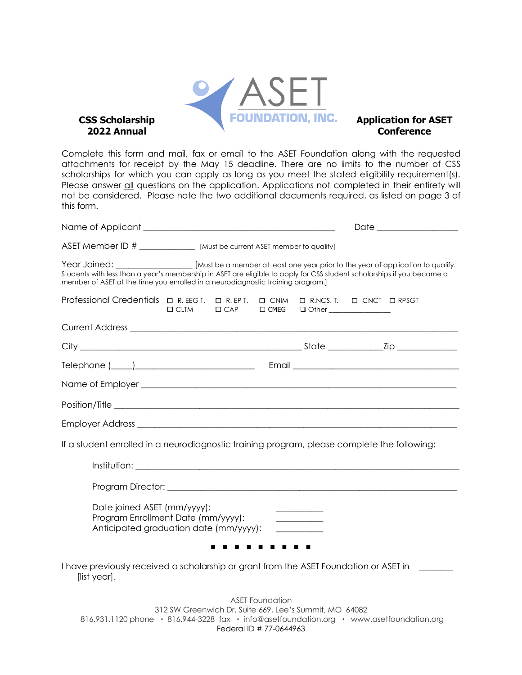

Complete this form and mail, fax or email to the ASET Foundation along with the requested attachments for receipt by the May 15 deadline. There are no limits to the number of CSS scholarships for which you can apply as long as you meet the stated eligibility requirement(s). Please answer all questions on the application. Applications not completed in their entirety will not be considered. Please note the two additional documents required, as listed on page 3 of this form.

| ASET Member ID # ________________ [Must be current ASET member to qualify]                                                                                                                                                                                                                                 |             |                        |                                         |  |
|------------------------------------------------------------------------------------------------------------------------------------------------------------------------------------------------------------------------------------------------------------------------------------------------------------|-------------|------------------------|-----------------------------------------|--|
| Year Joined: [Must be a member at least one year prior to the year of application to qualify.<br>Students with less than a year's membership in ASET are eligible to apply for CSS student scholarships if you became a<br>member of ASET at the time you enrolled in a neurodiagnostic training program.] |             |                        |                                         |  |
| Professional Credentials □ R. EEG T. □ R. EP T. □ CNIM □ R.NCS. T. □ CNCT □ RPSGT                                                                                                                                                                                                                          | $\Box$ CLTM |                        | □ CAP □ CMEG □ Other _______________    |  |
|                                                                                                                                                                                                                                                                                                            |             |                        |                                         |  |
|                                                                                                                                                                                                                                                                                                            |             |                        |                                         |  |
| Telephone ( <u>1988)</u> 2020 Communication Communication Communication Communication Communication Communication Communication Communication Communication Communication Communication Communication Communication Communication Co                                                                       |             |                        |                                         |  |
|                                                                                                                                                                                                                                                                                                            |             |                        |                                         |  |
|                                                                                                                                                                                                                                                                                                            |             |                        |                                         |  |
|                                                                                                                                                                                                                                                                                                            |             |                        |                                         |  |
| If a student enrolled in a neurodiagnostic training program, please complete the following:                                                                                                                                                                                                                |             |                        |                                         |  |
|                                                                                                                                                                                                                                                                                                            |             |                        |                                         |  |
|                                                                                                                                                                                                                                                                                                            |             |                        |                                         |  |
| Date joined ASET (mm/yyyy):<br>Program Enrollment Date (mm/yyyy):<br>Anticipated graduation date (mm/yyyy):                                                                                                                                                                                                |             |                        | <u> 1989 - Johann Barbara, martin a</u> |  |
|                                                                                                                                                                                                                                                                                                            |             |                        |                                         |  |
| I have previously received a scholarship or grant from the ASET Foundation or ASET in<br>[list year].                                                                                                                                                                                                      |             |                        |                                         |  |
|                                                                                                                                                                                                                                                                                                            |             | <b>ASET Foundation</b> |                                         |  |

312 SW Greenwich Dr. Suite 669, Lee's Summit, MO 64082 816.931.1120 phone · 816.944-3228 fax · info@asetfoundation.org · www.asetfoundation.org Federal ID # 77-0644963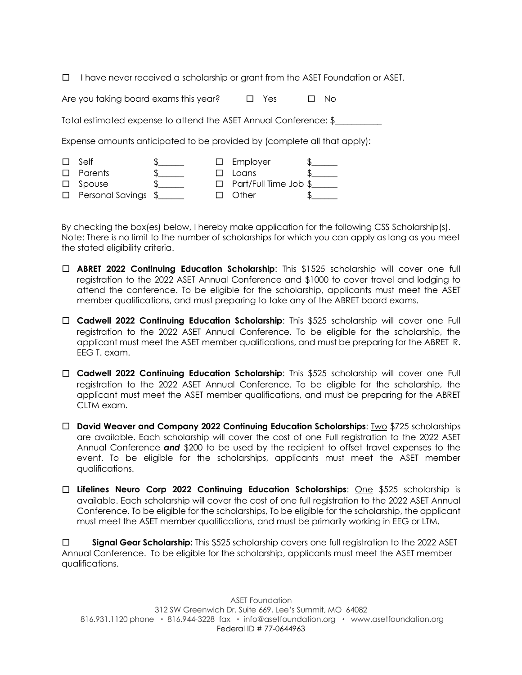☐ I have never received a scholarship or grant from the ASET Foundation or ASET.

| Are you taking board exams this year? | $\square$ Yes | $\Box$ No |  |
|---------------------------------------|---------------|-----------|--|
|                                       |               |           |  |

Total estimated expense to attend the ASET Annual Conference: \$\_\_\_\_\_\_\_\_\_\_\_

Expense amounts anticipated to be provided by (complete all that apply):

| $\Box$ | Self                                  |  | $\square$ Employer           |  |
|--------|---------------------------------------|--|------------------------------|--|
|        | $\Box$ Parents                        |  | $\Box$ Loans                 |  |
|        | $\Box$ Spouse                         |  | $\Box$ Part/Full Time Job \$ |  |
|        | $\Box$ Personal Savings $\frac{6}{2}$ |  | $\Box$ Other                 |  |

By checking the box(es) below, I hereby make application for the following CSS Scholarship(s). Note: There is no limit to the number of scholarships for which you can apply as long as you meet the stated eligibility criteria.

- ☐ **ABRET 2022 Continuing Education Scholarship**: This \$1525 scholarship will cover one full registration to the 2022 ASET Annual Conference and \$1000 to cover travel and lodging to attend the conference. To be eligible for the scholarship, applicants must meet the ASET member qualifications, and must preparing to take any of the ABRET board exams.
- ☐ **Cadwell 2022 Continuing Education Scholarship**: This \$525 scholarship will cover one Full registration to the 2022 ASET Annual Conference. To be eligible for the scholarship, the applicant must meet the ASET member qualifications, and must be preparing for the ABRET R. EEG T. exam.
- ☐ **Cadwell 2022 Continuing Education Scholarship**: This \$525 scholarship will cover one Full registration to the 2022 ASET Annual Conference. To be eligible for the scholarship, the applicant must meet the ASET member qualifications, and must be preparing for the ABRET CLTM exam.
- ☐ **David Weaver and Company 2022 Continuing Education Scholarships**: Two \$725 scholarships are available. Each scholarship will cover the cost of one Full registration to the 2022 ASET Annual Conference *and* \$200 to be used by the recipient to offset travel expenses to the event. To be eligible for the scholarships, applicants must meet the ASET member qualifications.
- ☐ **Lifelines Neuro Corp 2022 Continuing Education Scholarships**: One \$525 scholarship is available. Each scholarship will cover the cost of one full registration to the 2022 ASET Annual Conference. To be eligible for the scholarships, To be eligible for the scholarship, the applicant must meet the ASET member qualifications, and must be primarily working in EEG or LTM.

☐ **Signal Gear Scholarship:** This \$525 scholarship covers one full registration to the 2022 ASET Annual Conference. To be eligible for the scholarship, applicants must meet the ASET member qualifications.